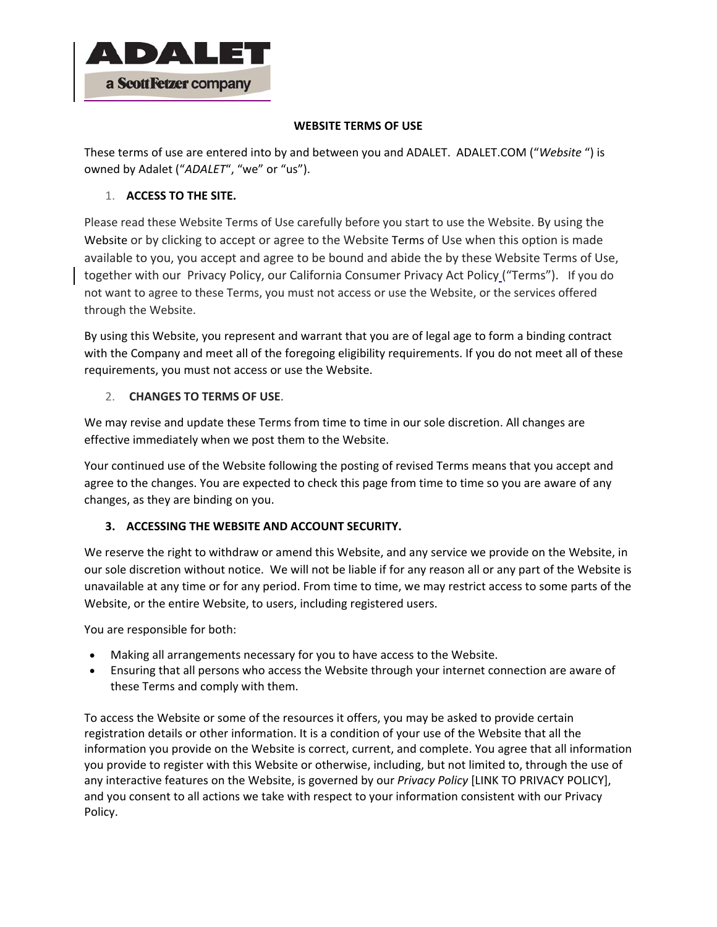

### **WEBSITE TERMS OF USE**

These terms of use are entered into by and between you and ADALET. ADALET.COM ("*Website* ") is owned by Adalet ("*ADALET*", "we" or "us").

# 1. **ACCESS TO THE SITE.**

Please read these Website Terms of Use carefully before you start to use the Website. By using the Website or by clicking to accept or agree to the Website Terms of Use when this option is made available to you, you accept and agree to be bound and abide the by these Website Terms of Use, together with our Privacy Policy, our California Consumer Privacy Act Policy ("Terms"). If you do not want to agree to these Terms, you must not access or use the Website, or the services offered through the Website.

By using this Website, you represent and warrant that you are of legal age to form a binding contract with the Company and meet all of the foregoing eligibility requirements. If you do not meet all of these requirements, you must not access or use the Website.

# 2. **CHANGES TO TERMS OF USE**.

We may revise and update these Terms from time to time in our sole discretion. All changes are effective immediately when we post them to the Website.

Your continued use of the Website following the posting of revised Terms means that you accept and agree to the changes. You are expected to check this page from time to time so you are aware of any changes, as they are binding on you.

# **3. ACCESSING THE WEBSITE AND ACCOUNT SECURITY.**

We reserve the right to withdraw or amend this Website, and any service we provide on the Website, in our sole discretion without notice. We will not be liable if for any reason all or any part of the Website is unavailable at any time or for any period. From time to time, we may restrict access to some parts of the Website, or the entire Website, to users, including registered users.

You are responsible for both:

- Making all arrangements necessary for you to have access to the Website.
- Ensuring that all persons who access the Website through your internet connection are aware of these Terms and comply with them.

To access the Website or some of the resources it offers, you may be asked to provide certain registration details or other information. It is a condition of your use of the Website that all the information you provide on the Website is correct, current, and complete. You agree that all information you provide to register with this Website or otherwise, including, but not limited to, through the use of any interactive features on the Website, is governed by our *Privacy Policy* [LINK TO PRIVACY POLICY], and you consent to all actions we take with respect to your information consistent with our Privacy Policy.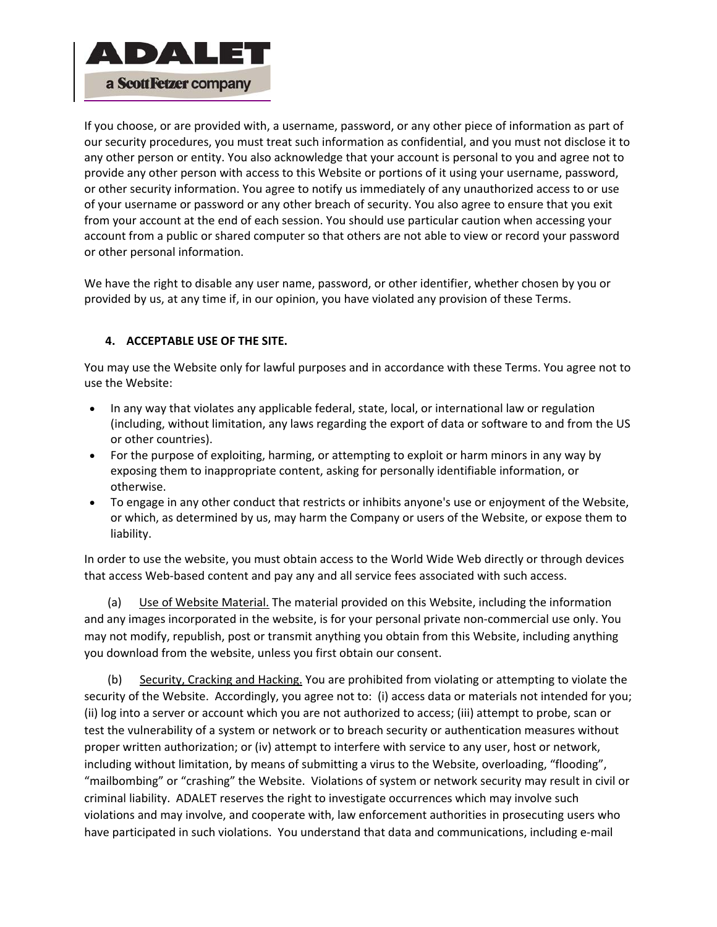

If you choose, or are provided with, a username, password, or any other piece of information as part of our security procedures, you must treat such information as confidential, and you must not disclose it to any other person or entity. You also acknowledge that your account is personal to you and agree not to provide any other person with access to this Website or portions of it using your username, password, or other security information. You agree to notify us immediately of any unauthorized access to or use of your username or password or any other breach of security. You also agree to ensure that you exit from your account at the end of each session. You should use particular caution when accessing your account from a public or shared computer so that others are not able to view or record your password or other personal information.

We have the right to disable any user name, password, or other identifier, whether chosen by you or provided by us, at any time if, in our opinion, you have violated any provision of these Terms.

# **4. ACCEPTABLE USE OF THE SITE.**

You may use the Website only for lawful purposes and in accordance with these Terms. You agree not to use the Website:

- In any way that violates any applicable federal, state, local, or international law or regulation (including, without limitation, any laws regarding the export of data or software to and from the US or other countries).
- For the purpose of exploiting, harming, or attempting to exploit or harm minors in any way by exposing them to inappropriate content, asking for personally identifiable information, or otherwise.
- To engage in any other conduct that restricts or inhibits anyone's use or enjoyment of the Website, or which, as determined by us, may harm the Company or users of the Website, or expose them to liability.

In order to use the website, you must obtain access to the World Wide Web directly or through devices that access Web-based content and pay any and all service fees associated with such access.

(a) Use of Website Material. The material provided on this Website, including the information and any images incorporated in the website, is for your personal private non‐commercial use only. You may not modify, republish, post or transmit anything you obtain from this Website, including anything you download from the website, unless you first obtain our consent.

 (b) Security, Cracking and Hacking. You are prohibited from violating or attempting to violate the security of the Website. Accordingly, you agree not to: (i) access data or materials not intended for you; (ii) log into a server or account which you are not authorized to access; (iii) attempt to probe, scan or test the vulnerability of a system or network or to breach security or authentication measures without proper written authorization; or (iv) attempt to interfere with service to any user, host or network, including without limitation, by means of submitting a virus to the Website, overloading, "flooding", "mailbombing" or "crashing" the Website. Violations of system or network security may result in civil or criminal liability. ADALET reserves the right to investigate occurrences which may involve such violations and may involve, and cooperate with, law enforcement authorities in prosecuting users who have participated in such violations. You understand that data and communications, including e-mail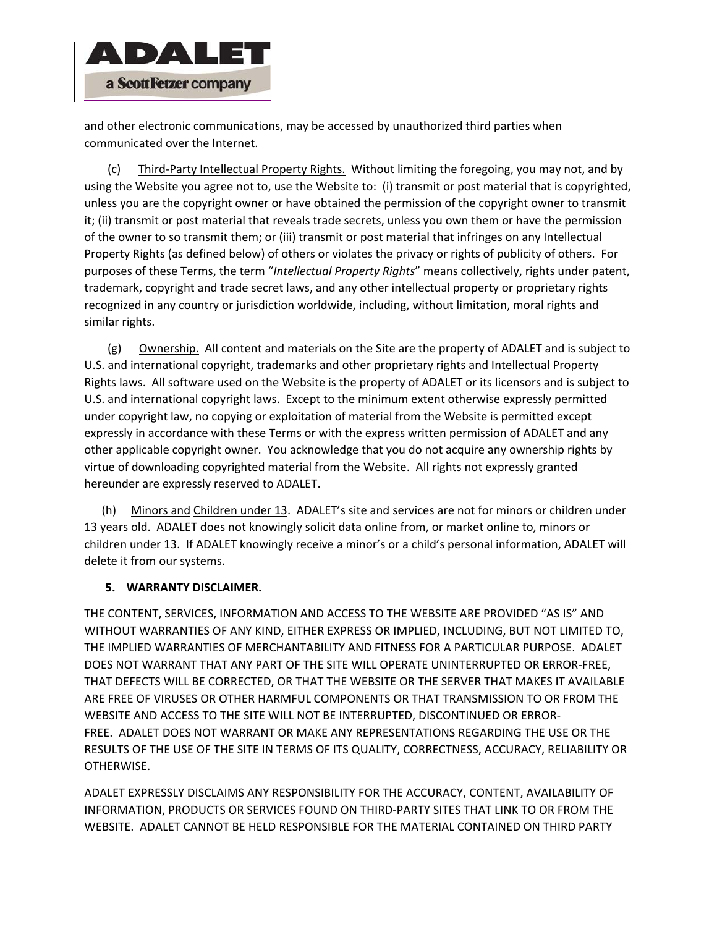

and other electronic communications, may be accessed by unauthorized third parties when communicated over the Internet.

 (c) Third‐Party Intellectual Property Rights. Without limiting the foregoing, you may not, and by using the Website you agree not to, use the Website to: (i) transmit or post material that is copyrighted, unless you are the copyright owner or have obtained the permission of the copyright owner to transmit it; (ii) transmit or post material that reveals trade secrets, unless you own them or have the permission of the owner to so transmit them; or (iii) transmit or post material that infringes on any Intellectual Property Rights (as defined below) of others or violates the privacy or rights of publicity of others. For purposes of these Terms, the term "*Intellectual Property Rights*" means collectively, rights under patent, trademark, copyright and trade secret laws, and any other intellectual property or proprietary rights recognized in any country or jurisdiction worldwide, including, without limitation, moral rights and similar rights.

 (g) Ownership. All content and materials on the Site are the property of ADALET and is subject to U.S. and international copyright, trademarks and other proprietary rights and Intellectual Property Rights laws. All software used on the Website is the property of ADALET or its licensors and is subject to U.S. and international copyright laws. Except to the minimum extent otherwise expressly permitted under copyright law, no copying or exploitation of material from the Website is permitted except expressly in accordance with these Terms or with the express written permission of ADALET and any other applicable copyright owner. You acknowledge that you do not acquire any ownership rights by virtue of downloading copyrighted material from the Website. All rights not expressly granted hereunder are expressly reserved to ADALET.

 (h) Minors and Children under 13. ADALET's site and services are not for minors or children under 13 years old. ADALET does not knowingly solicit data online from, or market online to, minors or children under 13. If ADALET knowingly receive a minor's or a child's personal information, ADALET will delete it from our systems.

### **5. WARRANTY DISCLAIMER.**

THE CONTENT, SERVICES, INFORMATION AND ACCESS TO THE WEBSITE ARE PROVIDED "AS IS" AND WITHOUT WARRANTIES OF ANY KIND, EITHER EXPRESS OR IMPLIED, INCLUDING, BUT NOT LIMITED TO, THE IMPLIED WARRANTIES OF MERCHANTABILITY AND FITNESS FOR A PARTICULAR PURPOSE. ADALET DOES NOT WARRANT THAT ANY PART OF THE SITE WILL OPERATE UNINTERRUPTED OR ERROR‐FREE, THAT DEFECTS WILL BE CORRECTED, OR THAT THE WEBSITE OR THE SERVER THAT MAKES IT AVAILABLE ARE FREE OF VIRUSES OR OTHER HARMFUL COMPONENTS OR THAT TRANSMISSION TO OR FROM THE WEBSITE AND ACCESS TO THE SITE WILL NOT BE INTERRUPTED, DISCONTINUED OR ERROR‐ FREE. ADALET DOES NOT WARRANT OR MAKE ANY REPRESENTATIONS REGARDING THE USE OR THE RESULTS OF THE USE OF THE SITE IN TERMS OF ITS QUALITY, CORRECTNESS, ACCURACY, RELIABILITY OR OTHERWISE.

ADALET EXPRESSLY DISCLAIMS ANY RESPONSIBILITY FOR THE ACCURACY, CONTENT, AVAILABILITY OF INFORMATION, PRODUCTS OR SERVICES FOUND ON THIRD‐PARTY SITES THAT LINK TO OR FROM THE WEBSITE. ADALET CANNOT BE HELD RESPONSIBLE FOR THE MATERIAL CONTAINED ON THIRD PARTY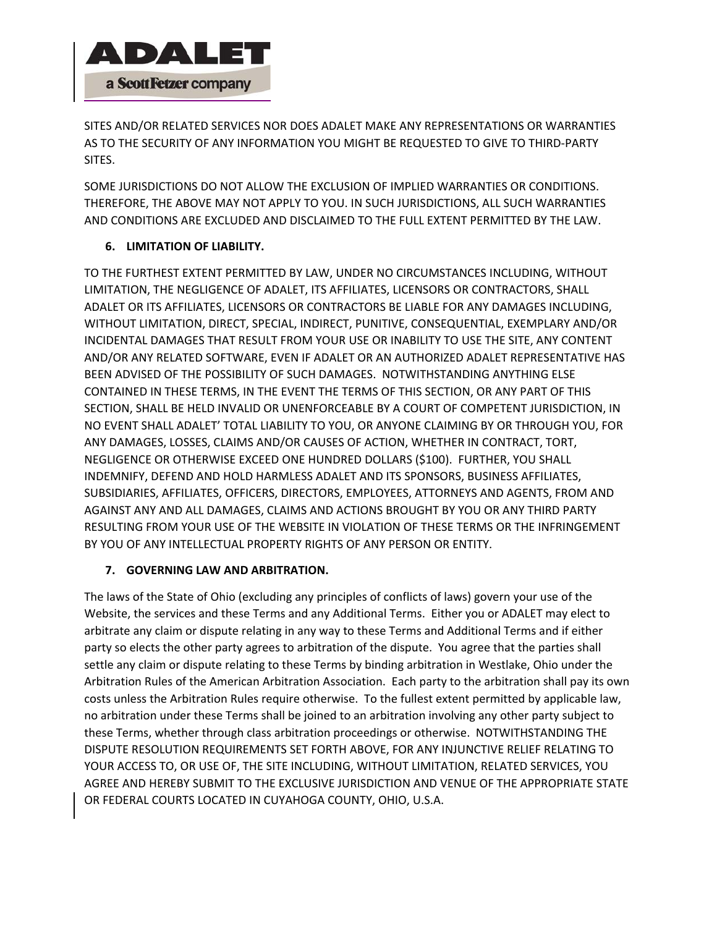

SITES AND/OR RELATED SERVICES NOR DOES ADALET MAKE ANY REPRESENTATIONS OR WARRANTIES AS TO THE SECURITY OF ANY INFORMATION YOU MIGHT BE REQUESTED TO GIVE TO THIRD‐PARTY SITES.

SOME JURISDICTIONS DO NOT ALLOW THE EXCLUSION OF IMPLIED WARRANTIES OR CONDITIONS. THEREFORE, THE ABOVE MAY NOT APPLY TO YOU. IN SUCH JURISDICTIONS, ALL SUCH WARRANTIES AND CONDITIONS ARE EXCLUDED AND DISCLAIMED TO THE FULL EXTENT PERMITTED BY THE LAW.

# **6. LIMITATION OF LIABILITY.**

TO THE FURTHEST EXTENT PERMITTED BY LAW, UNDER NO CIRCUMSTANCES INCLUDING, WITHOUT LIMITATION, THE NEGLIGENCE OF ADALET, ITS AFFILIATES, LICENSORS OR CONTRACTORS, SHALL ADALET OR ITS AFFILIATES, LICENSORS OR CONTRACTORS BE LIABLE FOR ANY DAMAGES INCLUDING, WITHOUT LIMITATION, DIRECT, SPECIAL, INDIRECT, PUNITIVE, CONSEQUENTIAL, EXEMPLARY AND/OR INCIDENTAL DAMAGES THAT RESULT FROM YOUR USE OR INABILITY TO USE THE SITE, ANY CONTENT AND/OR ANY RELATED SOFTWARE, EVEN IF ADALET OR AN AUTHORIZED ADALET REPRESENTATIVE HAS BEEN ADVISED OF THE POSSIBILITY OF SUCH DAMAGES. NOTWITHSTANDING ANYTHING ELSE CONTAINED IN THESE TERMS, IN THE EVENT THE TERMS OF THIS SECTION, OR ANY PART OF THIS SECTION, SHALL BE HELD INVALID OR UNENFORCEABLE BY A COURT OF COMPETENT JURISDICTION, IN NO EVENT SHALL ADALET' TOTAL LIABILITY TO YOU, OR ANYONE CLAIMING BY OR THROUGH YOU, FOR ANY DAMAGES, LOSSES, CLAIMS AND/OR CAUSES OF ACTION, WHETHER IN CONTRACT, TORT, NEGLIGENCE OR OTHERWISE EXCEED ONE HUNDRED DOLLARS (\$100). FURTHER, YOU SHALL INDEMNIFY, DEFEND AND HOLD HARMLESS ADALET AND ITS SPONSORS, BUSINESS AFFILIATES, SUBSIDIARIES, AFFILIATES, OFFICERS, DIRECTORS, EMPLOYEES, ATTORNEYS AND AGENTS, FROM AND AGAINST ANY AND ALL DAMAGES, CLAIMS AND ACTIONS BROUGHT BY YOU OR ANY THIRD PARTY RESULTING FROM YOUR USE OF THE WEBSITE IN VIOLATION OF THESE TERMS OR THE INFRINGEMENT BY YOU OF ANY INTELLECTUAL PROPERTY RIGHTS OF ANY PERSON OR ENTITY.

# **7. GOVERNING LAW AND ARBITRATION.**

The laws of the State of Ohio (excluding any principles of conflicts of laws) govern your use of the Website, the services and these Terms and any Additional Terms. Either you or ADALET may elect to arbitrate any claim or dispute relating in any way to these Terms and Additional Terms and if either party so elects the other party agrees to arbitration of the dispute. You agree that the parties shall settle any claim or dispute relating to these Terms by binding arbitration in Westlake, Ohio under the Arbitration Rules of the American Arbitration Association. Each party to the arbitration shall pay its own costs unless the Arbitration Rules require otherwise. To the fullest extent permitted by applicable law, no arbitration under these Terms shall be joined to an arbitration involving any other party subject to these Terms, whether through class arbitration proceedings or otherwise. NOTWITHSTANDING THE DISPUTE RESOLUTION REQUIREMENTS SET FORTH ABOVE, FOR ANY INJUNCTIVE RELIEF RELATING TO YOUR ACCESS TO, OR USE OF, THE SITE INCLUDING, WITHOUT LIMITATION, RELATED SERVICES, YOU AGREE AND HEREBY SUBMIT TO THE EXCLUSIVE JURISDICTION AND VENUE OF THE APPROPRIATE STATE OR FEDERAL COURTS LOCATED IN CUYAHOGA COUNTY, OHIO, U.S.A.